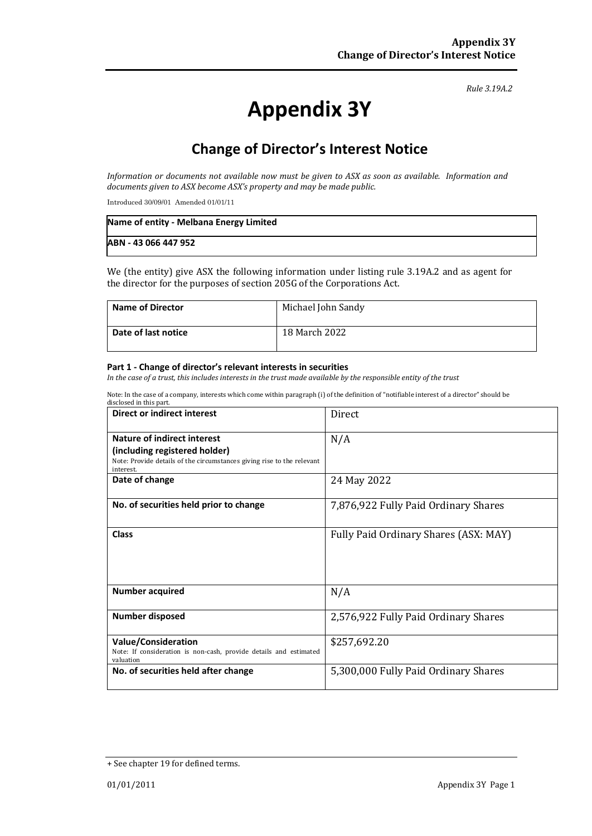#### *Rule 3.19A.2*

# **Appendix 3Y**

# **Change of Director's Interest Notice**

*Information or documents not available now must be given to ASX as soon as available. Information and documents given to ASX become ASX's property and may be made public.*

Introduced 30/09/01 Amended 01/01/11

| Name of entity - Melbana Energy Limited |  |
|-----------------------------------------|--|
| ABN - 43 066 447 952                    |  |

We (the entity) give ASX the following information under listing rule 3.19A.2 and as agent for the director for the purposes of section 205G of the Corporations Act.

| <b>Name of Director</b> | Michael John Sandy |
|-------------------------|--------------------|
| Date of last notice     | 18 March 2022      |

#### **Part 1 - Change of director's relevant interests in securities**

*In the case of a trust, this includes interests in the trust made available by the responsible entity of the trust*

Note: In the case of a company, interests which come within paragraph (i) of the definition of "notifiable interest of a director" should be

| Direct or indirect interest                                                                                          | Direct                                |
|----------------------------------------------------------------------------------------------------------------------|---------------------------------------|
| Nature of indirect interest                                                                                          | N/A                                   |
| (including registered holder)<br>Note: Provide details of the circumstances giving rise to the relevant<br>interest. |                                       |
| Date of change                                                                                                       | 24 May 2022                           |
| No. of securities held prior to change                                                                               | 7,876,922 Fully Paid Ordinary Shares  |
| Class                                                                                                                | Fully Paid Ordinary Shares (ASX: MAY) |
| <b>Number acquired</b>                                                                                               | N/A                                   |
| <b>Number disposed</b>                                                                                               | 2,576,922 Fully Paid Ordinary Shares  |
| <b>Value/Consideration</b><br>Note: If consideration is non-cash, provide details and estimated<br>valuation         | \$257,692.20                          |
| No. of securities held after change                                                                                  | 5,300,000 Fully Paid Ordinary Shares  |

<sup>+</sup> See chapter 19 for defined terms.